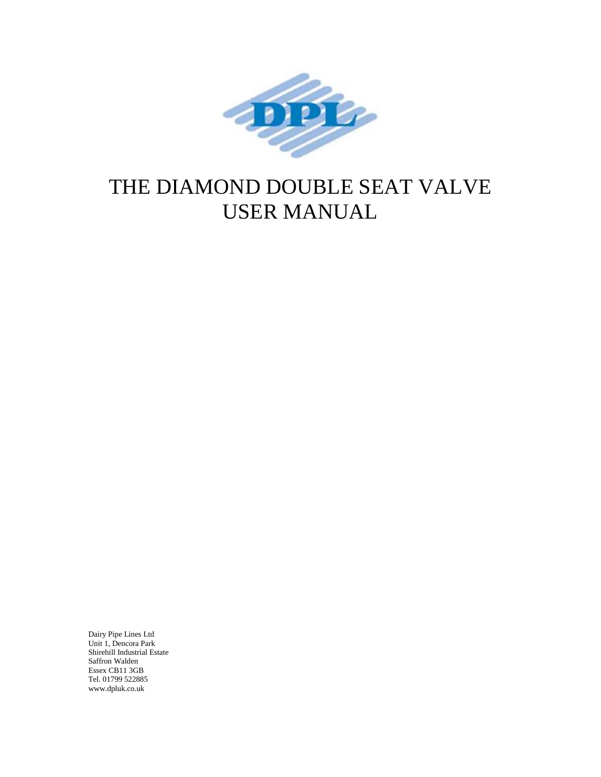

# THE DIAMOND DOUBLE SEAT VALVE USER MANUAL

Dairy Pipe Lines Ltd Unit 1, Dencora Park Shirehill Industrial Estate Saffron Walden Essex CB11 3GB Tel. 01799 522885 www.dpluk.co.uk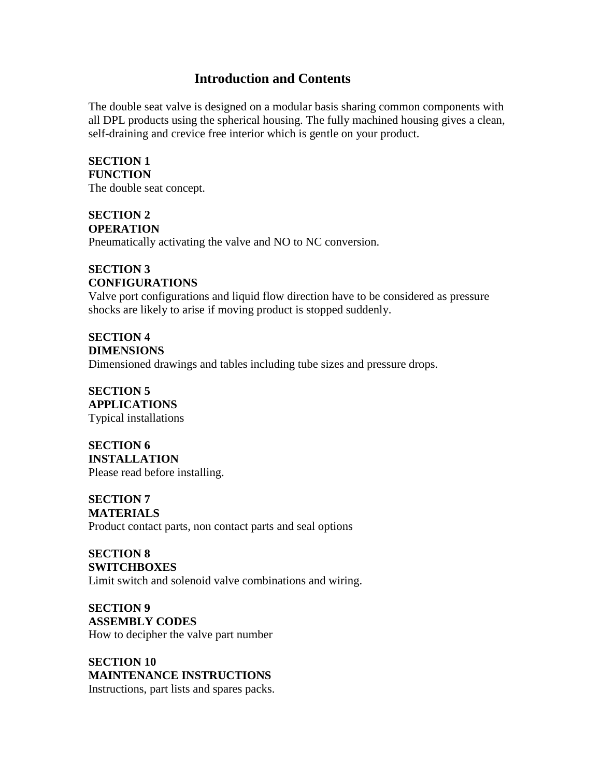# **Introduction and Contents**

The double seat valve is designed on a modular basis sharing common components with all DPL products using the spherical housing. The fully machined housing gives a clean, self-draining and crevice free interior which is gentle on your product.

#### **SECTION 1**

**FUNCTION** The double seat concept.

# **SECTION 2**

**OPERATION**

Pneumatically activating the valve and NO to NC conversion.

# **SECTION 3 CONFIGURATIONS**

Valve port configurations and liquid flow direction have to be considered as pressure shocks are likely to arise if moving product is stopped suddenly.

#### **SECTION 4 DIMENSIONS**

Dimensioned drawings and tables including tube sizes and pressure drops.

# **SECTION 5**

**APPLICATIONS** Typical installations

# **SECTION 6**

**INSTALLATION**

Please read before installing.

# **SECTION 7**

**MATERIALS**

Product contact parts, non contact parts and seal options

# **SECTION 8 SWITCHBOXES**

Limit switch and solenoid valve combinations and wiring.

**SECTION 9 ASSEMBLY CODES** How to decipher the valve part number

# **SECTION 10 MAINTENANCE INSTRUCTIONS** Instructions, part lists and spares packs.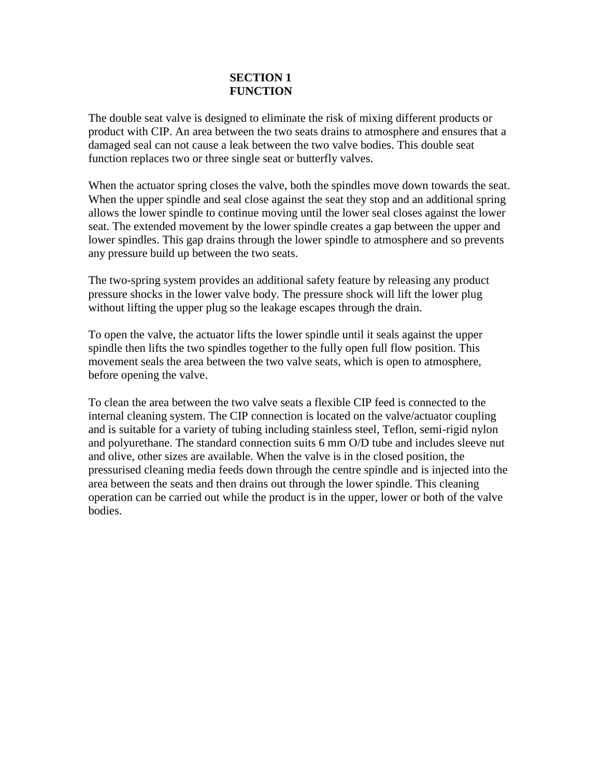# **SECTION 1 FUNCTION**

The double seat valve is designed to eliminate the risk of mixing different products or product with CIP. An area between the two seats drains to atmosphere and ensures that a damaged seal can not cause a leak between the two valve bodies. This double seat function replaces two or three single seat or butterfly valves.

When the actuator spring closes the valve, both the spindles move down towards the seat. When the upper spindle and seal close against the seat they stop and an additional spring allows the lower spindle to continue moving until the lower seal closes against the lower seat. The extended movement by the lower spindle creates a gap between the upper and lower spindles. This gap drains through the lower spindle to atmosphere and so prevents any pressure build up between the two seats.

The two-spring system provides an additional safety feature by releasing any product pressure shocks in the lower valve body. The pressure shock will lift the lower plug without lifting the upper plug so the leakage escapes through the drain.

To open the valve, the actuator lifts the lower spindle until it seals against the upper spindle then lifts the two spindles together to the fully open full flow position. This movement seals the area between the two valve seats, which is open to atmosphere, before opening the valve.

To clean the area between the two valve seats a flexible CIP feed is connected to the internal cleaning system. The CIP connection is located on the valve/actuator coupling and is suitable for a variety of tubing including stainless steel, Teflon, semi-rigid nylon and polyurethane. The standard connection suits 6 mm O/D tube and includes sleeve nut and olive, other sizes are available. When the valve is in the closed position, the pressurised cleaning media feeds down through the centre spindle and is injected into the area between the seats and then drains out through the lower spindle. This cleaning operation can be carried out while the product is in the upper, lower or both of the valve bodies.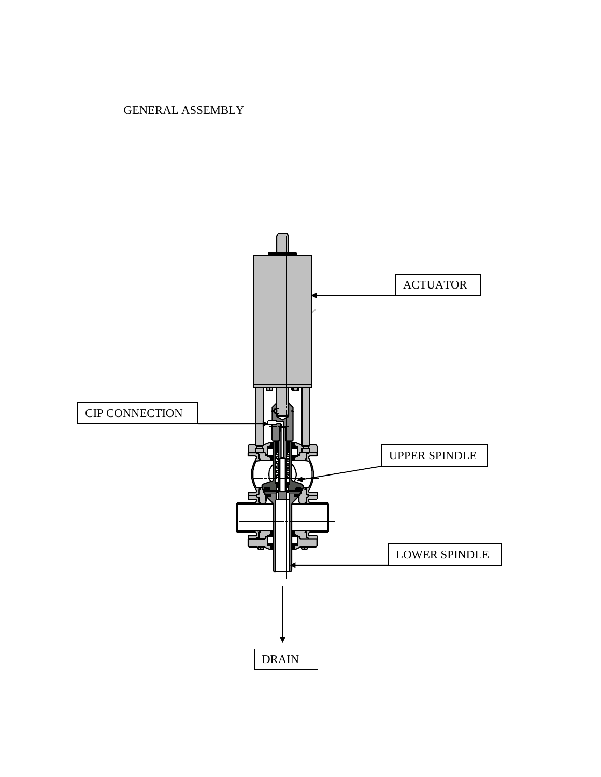GENERAL ASSEMBLY

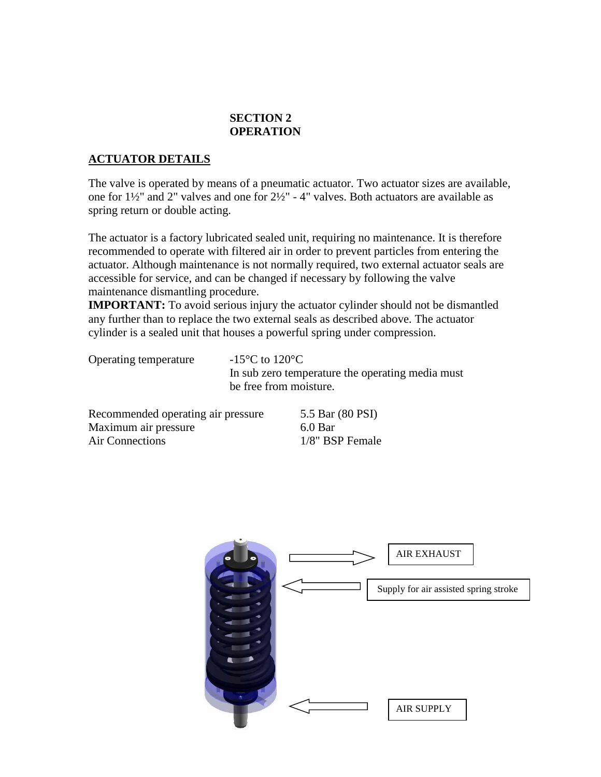# **SECTION 2 OPERATION**

# **ACTUATOR DETAILS**

The valve is operated by means of a pneumatic actuator. Two actuator sizes are available, one for 1½" and 2" valves and one for 2½" - 4" valves. Both actuators are available as spring return or double acting.

The actuator is a factory lubricated sealed unit, requiring no maintenance. It is therefore recommended to operate with filtered air in order to prevent particles from entering the actuator. Although maintenance is not normally required, two external actuator seals are accessible for service, and can be changed if necessary by following the valve maintenance dismantling procedure.

**IMPORTANT:** To avoid serious injury the actuator cylinder should not be dismantled any further than to replace the two external seals as described above. The actuator cylinder is a sealed unit that houses a powerful spring under compression.

Operating temperature  $-15^{\circ}$ C to  $120^{\circ}$ C

In sub zero temperature the operating media must be free from moisture.

Recommended operating air pressure 5.5 Bar (80 PSI) Maximum air pressure 6.0 Bar Air Connections 1/8" BSP Female

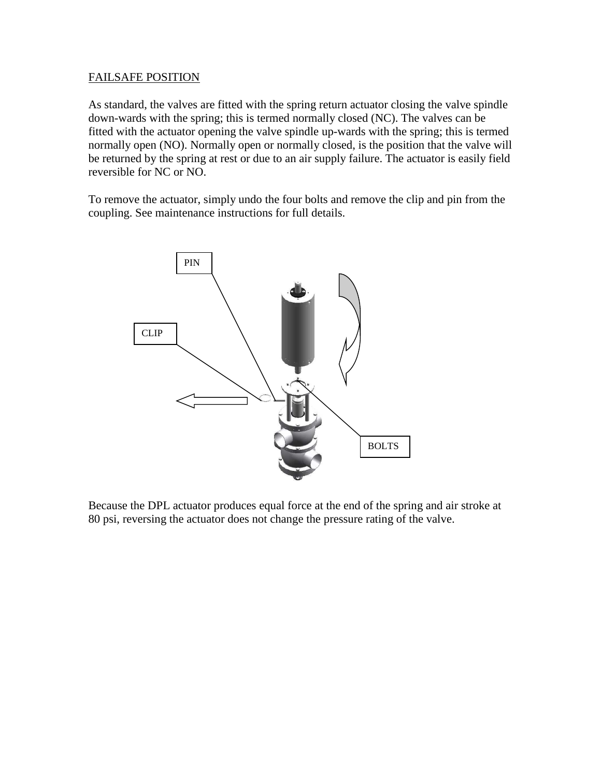#### FAILSAFE POSITION

As standard, the valves are fitted with the spring return actuator closing the valve spindle down-wards with the spring; this is termed normally closed (NC). The valves can be fitted with the actuator opening the valve spindle up-wards with the spring; this is termed normally open (NO). Normally open or normally closed, is the position that the valve will be returned by the spring at rest or due to an air supply failure. The actuator is easily field reversible for NC or NO.

To remove the actuator, simply undo the four bolts and remove the clip and pin from the coupling. See maintenance instructions for full details.



Because the DPL actuator produces equal force at the end of the spring and air stroke at 80 psi, reversing the actuator does not change the pressure rating of the valve.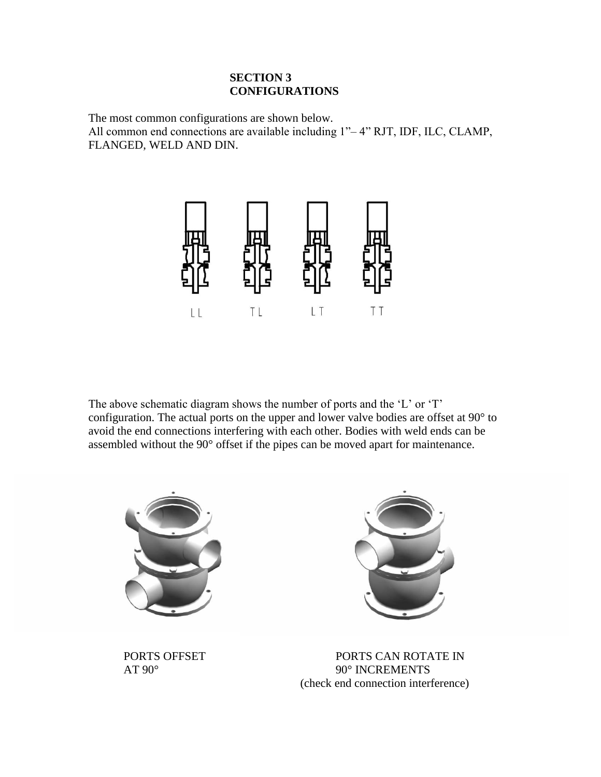#### **SECTION 3 CONFIGURATIONS**

The most common configurations are shown below. All common end connections are available including 1"– 4" RJT, IDF, ILC, CLAMP, FLANGED, WELD AND DIN.



The above schematic diagram shows the number of ports and the 'L' or 'T' configuration. The actual ports on the upper and lower valve bodies are offset at 90° to avoid the end connections interfering with each other. Bodies with weld ends can be assembled without the 90° offset if the pipes can be moved apart for maintenance.



AT  $90^\circ$  MCREMENTS (check end connection interference)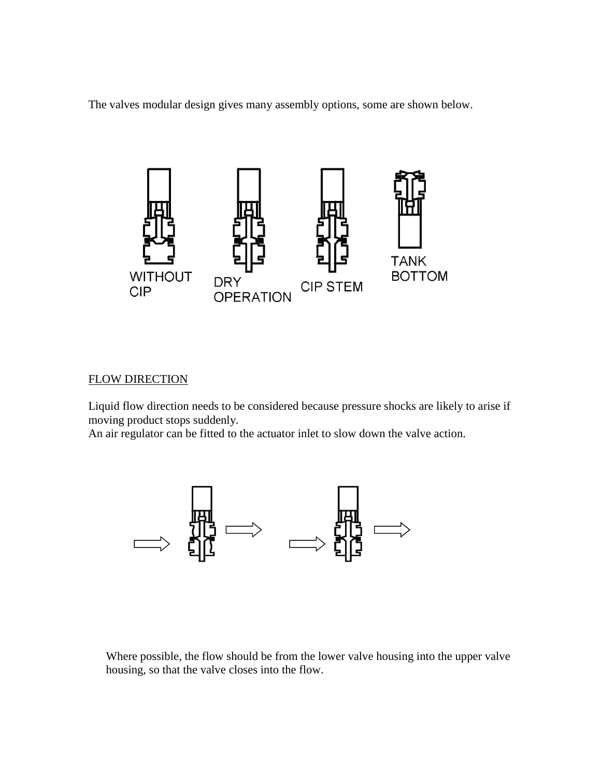The valves modular design gives many assembly options, some are shown below.



#### FLOW DIRECTION

Liquid flow direction needs to be considered because pressure shocks are likely to arise if moving product stops suddenly.

An air regulator can be fitted to the actuator inlet to slow down the valve action.



Where possible, the flow should be from the lower valve housing into the upper valve housing, so that the valve closes into the flow.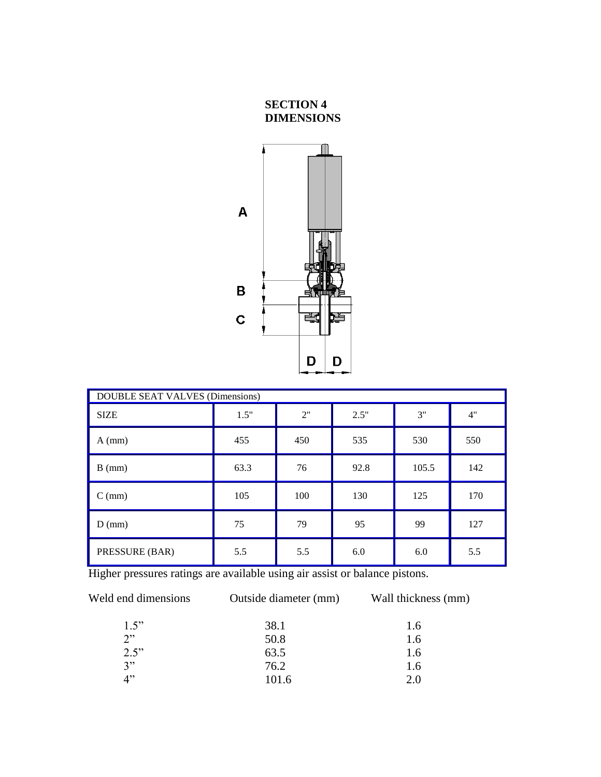#### **SECTION 4 DIMENSIONS**



| DOUBLE SEAT VALVES (Dimensions) |      |     |      |       |     |
|---------------------------------|------|-----|------|-------|-----|
| <b>SIZE</b>                     | 1.5" | 2"  | 2.5" | 3"    | 4"  |
| $A$ (mm)                        | 455  | 450 | 535  | 530   | 550 |
| $B$ (mm)                        | 63.3 | 76  | 92.8 | 105.5 | 142 |
| $C$ (mm)                        | 105  | 100 | 130  | 125   | 170 |
| $D$ (mm)                        | 75   | 79  | 95   | 99    | 127 |
| PRESSURE (BAR)                  | 5.5  | 5.5 | 6.0  | 6.0   | 5.5 |

Higher pressures ratings are available using air assist or balance pistons.

| Weld end dimensions | Outside diameter (mm) | Wall thickness (mm) |
|---------------------|-----------------------|---------------------|
| 1.5"                | 38.1                  | 1.6                 |
| 2"                  | 50.8                  | 1.6                 |
| 2.5"                | 63.5                  | 1.6                 |
| 3"                  | 76.2                  | 1.6                 |
| יי 1                | 101.6                 |                     |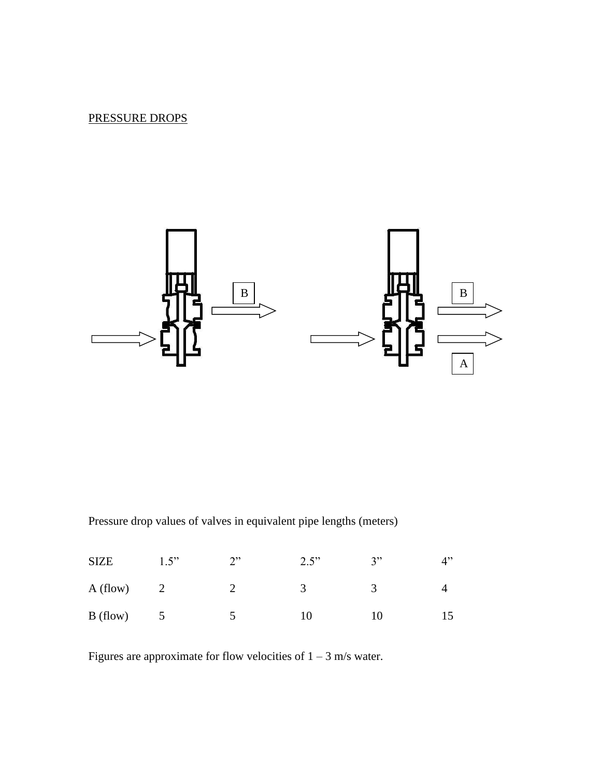# PRESSURE DROPS



Pressure drop values of valves in equivalent pipe lengths (meters)

| <b>SIZE</b> | $1.5$ " | $\bigcap$ | 2.5" | 3" | A " |
|-------------|---------|-----------|------|----|-----|
| A (flow)    |         |           |      |    |     |
| B (flow)    |         |           |      | 10 |     |

Figures are approximate for flow velocities of  $1 - 3$  m/s water.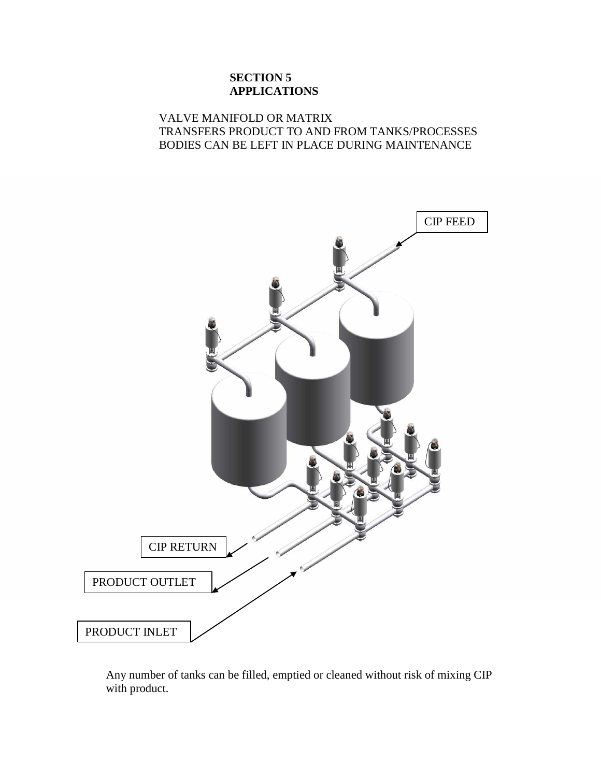# **SECTION 5 APPLICATIONS**

#### VALVE MANIFOLD OR MATRIX TRANSFERS PRODUCT TO AND FROM TANKS/PROCESSES BODIES CAN BE LEFT IN PLACE DURING MAINTENANCE



Any number of tanks can be filled, emptied or cleaned without risk of mixing CIP with product.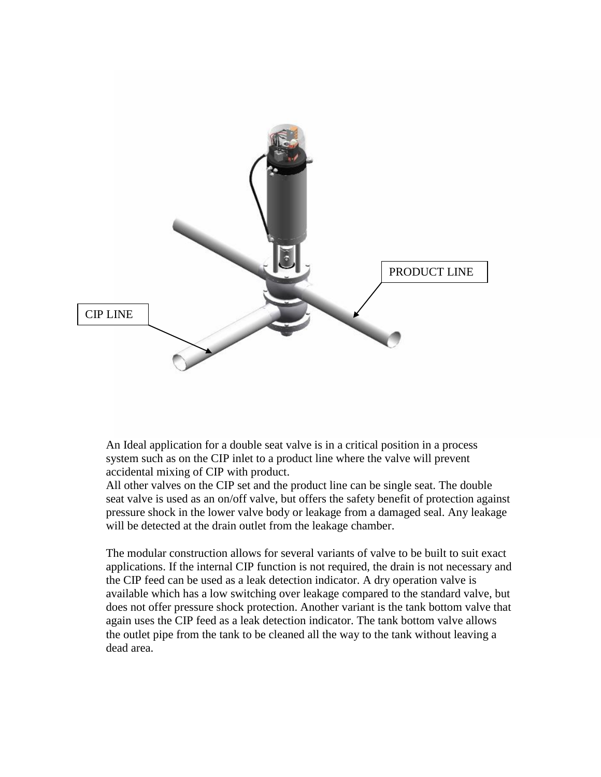

An Ideal application for a double seat valve is in a critical position in a process system such as on the CIP inlet to a product line where the valve will prevent accidental mixing of CIP with product.

All other valves on the CIP set and the product line can be single seat. The double seat valve is used as an on/off valve, but offers the safety benefit of protection against pressure shock in the lower valve body or leakage from a damaged seal. Any leakage will be detected at the drain outlet from the leakage chamber.

The modular construction allows for several variants of valve to be built to suit exact applications. If the internal CIP function is not required, the drain is not necessary and the CIP feed can be used as a leak detection indicator. A dry operation valve is available which has a low switching over leakage compared to the standard valve, but does not offer pressure shock protection. Another variant is the tank bottom valve that again uses the CIP feed as a leak detection indicator. The tank bottom valve allows the outlet pipe from the tank to be cleaned all the way to the tank without leaving a dead area.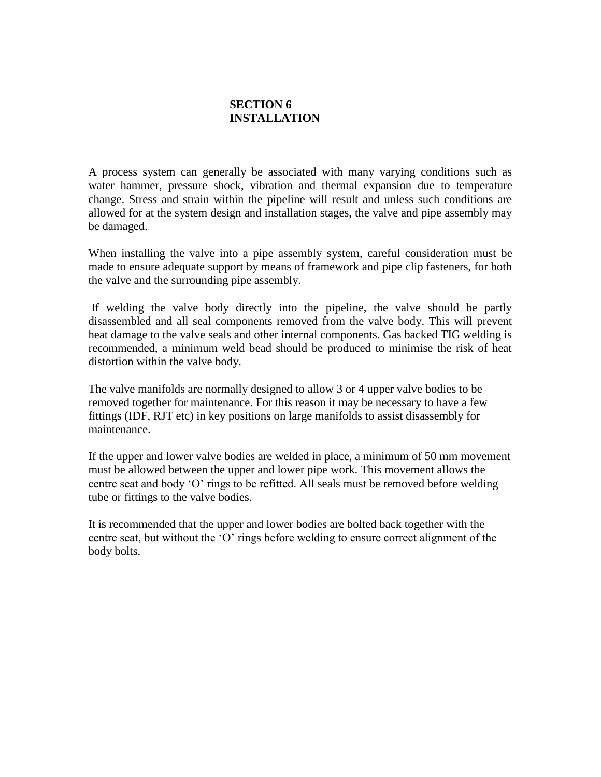# **SECTION 6 INSTALLATION**

A process system can generally be associated with many varying conditions such as water hammer, pressure shock, vibration and thermal expansion due to temperature change. Stress and strain within the pipeline will result and unless such conditions are allowed for at the system design and installation stages, the valve and pipe assembly may be damaged.

When installing the valve into a pipe assembly system, careful consideration must be made to ensure adequate support by means of framework and pipe clip fasteners, for both the valve and the surrounding pipe assembly.

If welding the valve body directly into the pipeline, the valve should be partly disassembled and all seal components removed from the valve body. This will prevent heat damage to the valve seals and other internal components. Gas backed TIG welding is recommended, a minimum weld bead should be produced to minimise the risk of heat distortion within the valve body.

The valve manifolds are normally designed to allow 3 or 4 upper valve bodies to be removed together for maintenance. For this reason it may be necessary to have a few fittings (IDF, RJT etc) in key positions on large manifolds to assist disassembly for maintenance.

If the upper and lower valve bodies are welded in place, a minimum of 50 mm movement must be allowed between the upper and lower pipe work. This movement allows the centre seat and body 'O' rings to be refitted. All seals must be removed before welding tube or fittings to the valve bodies.

It is recommended that the upper and lower bodies are bolted back together with the centre seat, but without the 'O' rings before welding to ensure correct alignment of the body bolts.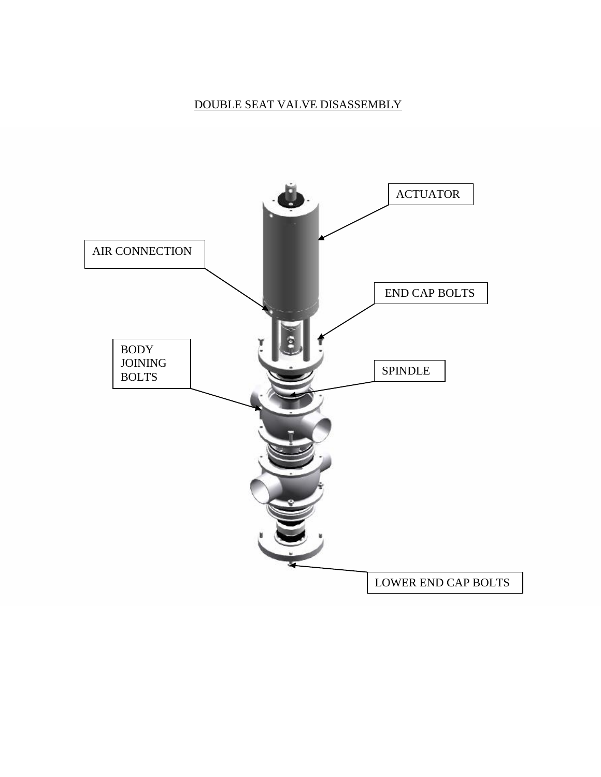# DOUBLE SEAT VALVE DISASSEMBLY

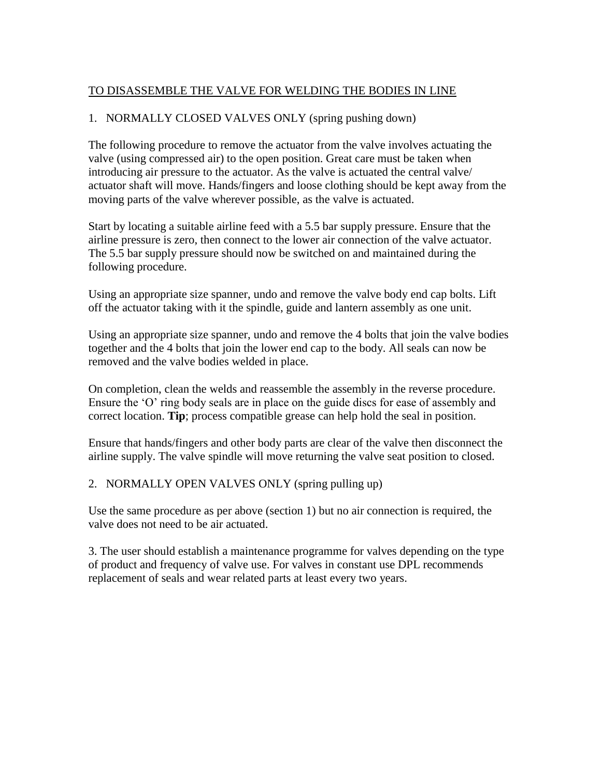# TO DISASSEMBLE THE VALVE FOR WELDING THE BODIES IN LINE

# 1. NORMALLY CLOSED VALVES ONLY (spring pushing down)

The following procedure to remove the actuator from the valve involves actuating the valve (using compressed air) to the open position. Great care must be taken when introducing air pressure to the actuator. As the valve is actuated the central valve/ actuator shaft will move. Hands/fingers and loose clothing should be kept away from the moving parts of the valve wherever possible, as the valve is actuated.

Start by locating a suitable airline feed with a 5.5 bar supply pressure. Ensure that the airline pressure is zero, then connect to the lower air connection of the valve actuator. The 5.5 bar supply pressure should now be switched on and maintained during the following procedure.

Using an appropriate size spanner, undo and remove the valve body end cap bolts. Lift off the actuator taking with it the spindle, guide and lantern assembly as one unit.

Using an appropriate size spanner, undo and remove the 4 bolts that join the valve bodies together and the 4 bolts that join the lower end cap to the body. All seals can now be removed and the valve bodies welded in place.

On completion, clean the welds and reassemble the assembly in the reverse procedure. Ensure the 'O' ring body seals are in place on the guide discs for ease of assembly and correct location. **Tip**; process compatible grease can help hold the seal in position.

Ensure that hands/fingers and other body parts are clear of the valve then disconnect the airline supply. The valve spindle will move returning the valve seat position to closed.

2. NORMALLY OPEN VALVES ONLY (spring pulling up)

Use the same procedure as per above (section 1) but no air connection is required, the valve does not need to be air actuated.

3. The user should establish a maintenance programme for valves depending on the type of product and frequency of valve use. For valves in constant use DPL recommends replacement of seals and wear related parts at least every two years.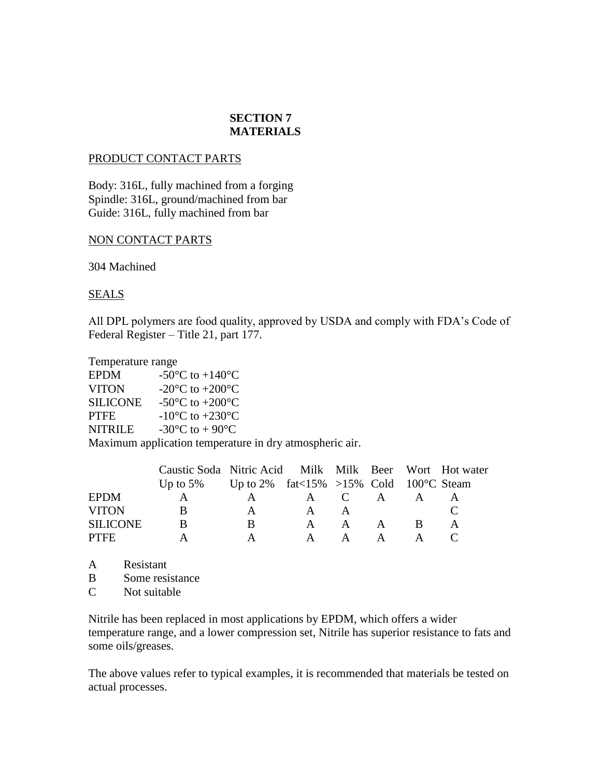# **SECTION 7 MATERIALS**

#### PRODUCT CONTACT PARTS

Body: 316L, fully machined from a forging Spindle: 316L, ground/machined from bar Guide: 316L, fully machined from bar

#### NON CONTACT PARTS

304 Machined

#### **SEALS**

All DPL polymers are food quality, approved by USDA and comply with FDA's Code of Federal Register – Title 21, part 177.

Temperature range

| <b>EPDM</b>     | -50 $\mathrm{^{\circ}C}$ to +140 $\mathrm{^{\circ}C}$ |
|-----------------|-------------------------------------------------------|
| <b>VITON</b>    | -20 $\rm{^{\circ}C}$ to +200 $\rm{^{\circ}C}$         |
| <b>SILICONE</b> | -50 $\rm{^{\circ}C}$ to +200 $\rm{^{\circ}C}$         |
| <b>PTFE</b>     | $-10^{\circ}$ C to $+230^{\circ}$ C                   |
| <b>NITRILE</b>  | -30 $\mathrm{^{\circ}C}$ to + 90 $\mathrm{^{\circ}C}$ |
|                 |                                                       |

Maximum application temperature in dry atmospheric air.

|                 | Caustic Soda Nitric Acid Milk Milk Beer Wort Hot water |              |                |              |              |   |  |
|-----------------|--------------------------------------------------------|--------------|----------------|--------------|--------------|---|--|
|                 | Up to 5% Up to 2% fat $15\%$ > 15% Cold 100 °C Steam   |              |                |              |              |   |  |
| <b>EPDM</b>     | $\mathbf{A}$                                           | $\mathsf{A}$ | $\overline{A}$ | $\mathbf{C}$ | $\mathbf{A}$ |   |  |
| <b>VITON</b>    | B                                                      | $\mathsf{A}$ | $\mathbf{A}$   |              |              |   |  |
| <b>SILICONE</b> | R                                                      | B            |                | $\mathbf{A}$ | A            | R |  |
| <b>PTFE</b>     |                                                        |              | $\mathbf{A}$   | $\mathbf{A}$ | A            |   |  |

A Resistant

B Some resistance

C Not suitable

Nitrile has been replaced in most applications by EPDM, which offers a wider temperature range, and a lower compression set, Nitrile has superior resistance to fats and some oils/greases.

The above values refer to typical examples, it is recommended that materials be tested on actual processes.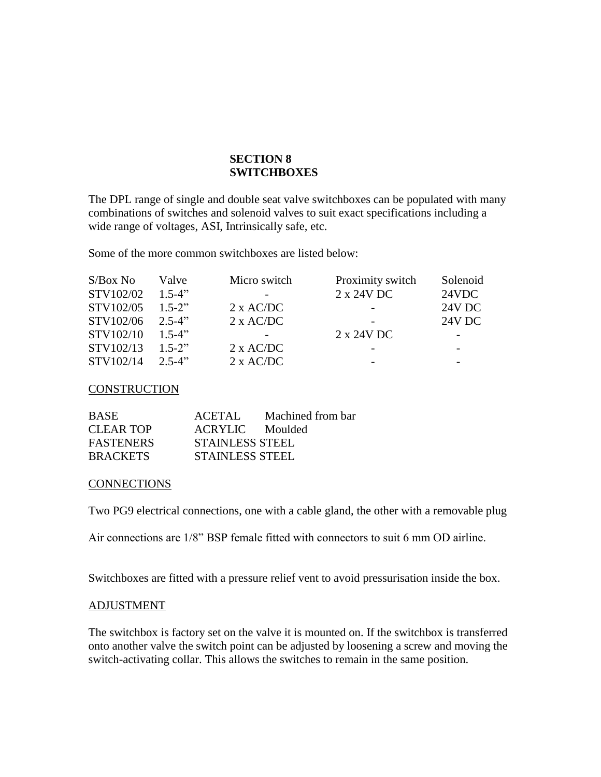# **SECTION 8 SWITCHBOXES**

The DPL range of single and double seat valve switchboxes can be populated with many combinations of switches and solenoid valves to suit exact specifications including a wide range of voltages, ASI, Intrinsically safe, etc.

Some of the more common switchboxes are listed below:

| $S/Box$ No | Valve       | Micro switch     | Proximity switch | Solenoid                 |
|------------|-------------|------------------|------------------|--------------------------|
| STV102/02  | $1.5 - 4$ " |                  | 2 x 24V DC       | 24VDC                    |
| STV102/05  | $1.5 - 2$ " | $2 \times AC/DC$ |                  | <b>24V DC</b>            |
| STV102/06  | $2.5 - 4$ " | $2 \times AC/DC$ |                  | <b>24V DC</b>            |
| STV102/10  | $1.5-4"$    |                  | 2 x 24V DC       |                          |
| STV102/13  | $1.5 - 2$ " | $2 \times AC/DC$ |                  | $\overline{\phantom{0}}$ |
| STV102/14  | $2.5 - 4$ " | $2 \times AC/DC$ |                  |                          |

#### **CONSTRUCTION**

| <b>BASE</b>      | ACETAL                 | Machined from bar |
|------------------|------------------------|-------------------|
| <b>CLEAR TOP</b> | ACRYLIC Moulded        |                   |
| <b>FASTENERS</b> | <b>STAINLESS STEEL</b> |                   |
| <b>BRACKETS</b>  | <b>STAINLESS STEEL</b> |                   |

#### CONNECTIONS

Two PG9 electrical connections, one with a cable gland, the other with a removable plug

Air connections are 1/8" BSP female fitted with connectors to suit 6 mm OD airline.

Switchboxes are fitted with a pressure relief vent to avoid pressurisation inside the box.

#### ADJUSTMENT

The switchbox is factory set on the valve it is mounted on. If the switchbox is transferred onto another valve the switch point can be adjusted by loosening a screw and moving the switch-activating collar. This allows the switches to remain in the same position.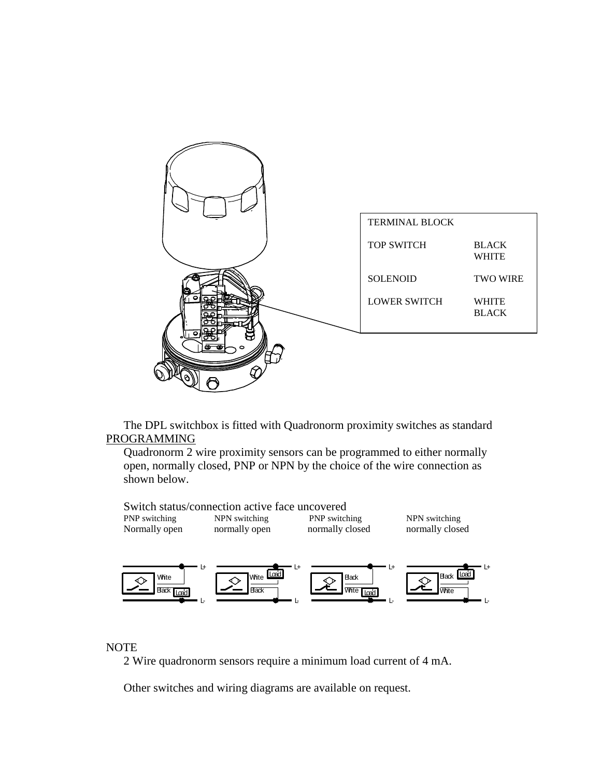

The DPL switchbox is fitted with Quadronorm proximity switches as standard PROGRAMMING

Quadronorm 2 wire proximity sensors can be programmed to either normally open, normally closed, PNP or NPN by the choice of the wire connection as shown below.



#### **NOTE**

2 Wire quadronorm sensors require a minimum load current of 4 mA.

Other switches and wiring diagrams are available on request.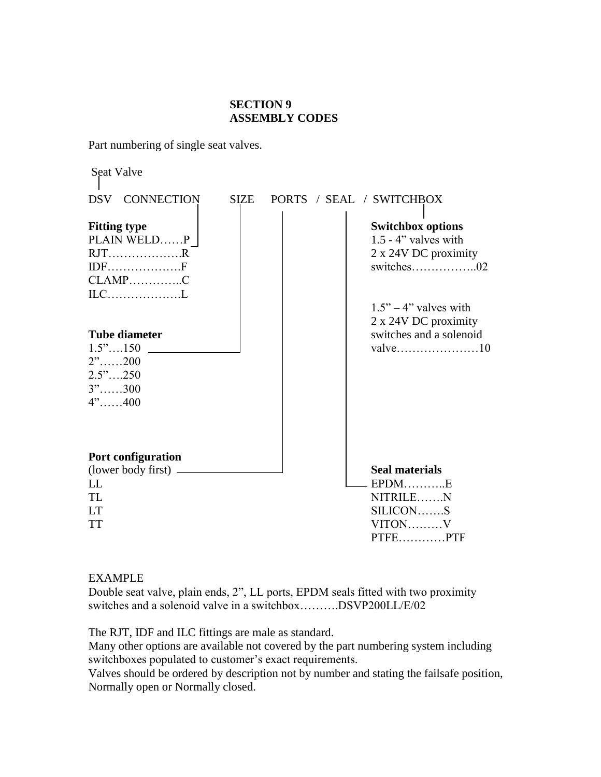#### **SECTION 9 ASSEMBLY CODES**

Part numbering of single seat valves.

| Seat Valve           |             |                          |
|----------------------|-------------|--------------------------|
| DSV CONNECTION       | <b>SIZE</b> | PORTS / SEAL / SWITCHBOX |
| <b>Fitting type</b>  |             | <b>Switchbox options</b> |
| PLAIN WELDP          |             | $1.5 - 4$ " valves with  |
|                      |             | 2 x 24V DC proximity     |
| $IDF$ F              |             |                          |
|                      |             |                          |
|                      |             |                          |
|                      |             | $1.5" - 4"$ valves with  |
|                      |             | 2 x 24V DC proximity     |
| <b>Tube diameter</b> |             | switches and a solenoid  |
| $1.5$ "150           |             |                          |
| $2$ "200             |             |                          |
| $2.5$ "250           |             |                          |
| $3$ "300             |             |                          |
| $4$ "400             |             |                          |
|                      |             |                          |
|                      |             |                          |
|                      |             |                          |
| Port configuration   |             |                          |
|                      |             | <b>Seal materials</b>    |
| LL                   |             | $E PDM$ $E$              |
| TL                   |             | NITRILEN                 |
| <b>LT</b>            |             | SILICONS                 |
| TT                   |             | $VITON$ $V$              |
|                      |             | PTFEPTF                  |

#### EXAMPLE

Double seat valve, plain ends, 2", LL ports, EPDM seals fitted with two proximity switches and a solenoid valve in a switchbox……….DSVP200LL/E/02

The RJT, IDF and ILC fittings are male as standard.

Many other options are available not covered by the part numbering system including switchboxes populated to customer's exact requirements.

Valves should be ordered by description not by number and stating the failsafe position, Normally open or Normally closed.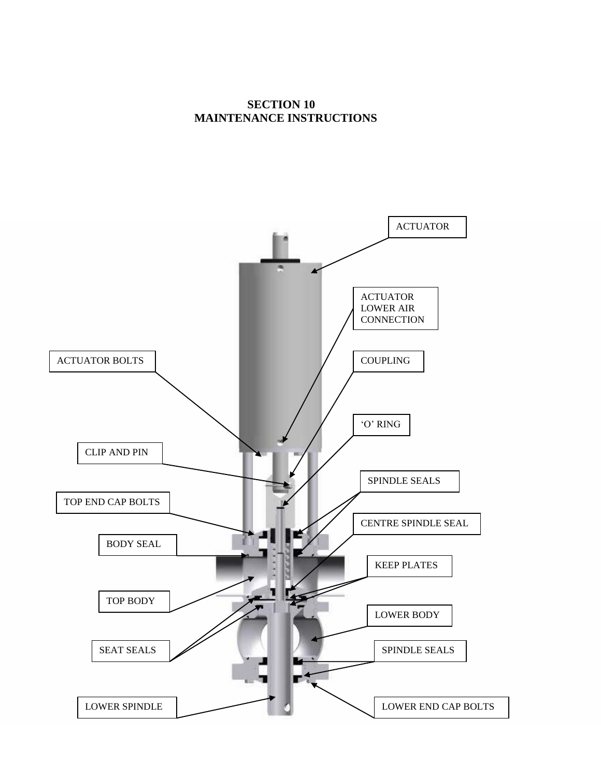**SECTION 10 MAINTENANCE INSTRUCTIONS**

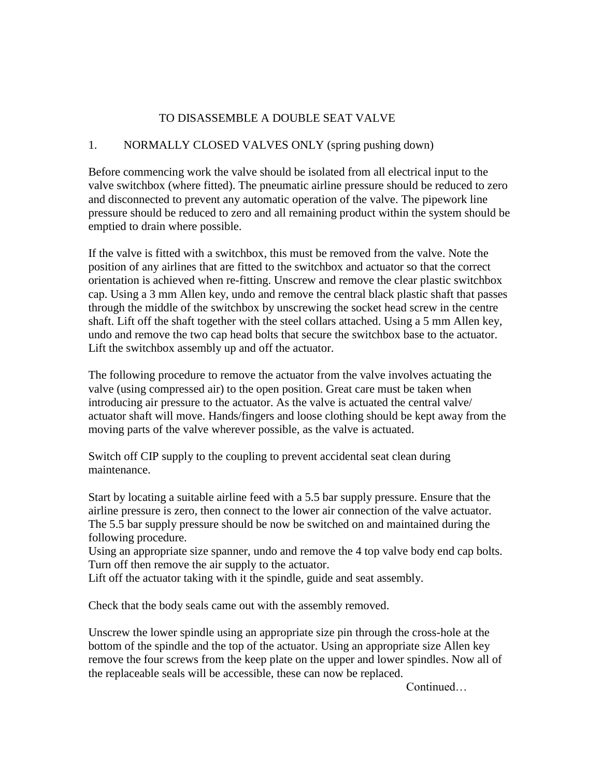# TO DISASSEMBLE A DOUBLE SEAT VALVE

# 1. NORMALLY CLOSED VALVES ONLY (spring pushing down)

Before commencing work the valve should be isolated from all electrical input to the valve switchbox (where fitted). The pneumatic airline pressure should be reduced to zero and disconnected to prevent any automatic operation of the valve. The pipework line pressure should be reduced to zero and all remaining product within the system should be emptied to drain where possible.

If the valve is fitted with a switchbox, this must be removed from the valve. Note the position of any airlines that are fitted to the switchbox and actuator so that the correct orientation is achieved when re-fitting. Unscrew and remove the clear plastic switchbox cap. Using a 3 mm Allen key, undo and remove the central black plastic shaft that passes through the middle of the switchbox by unscrewing the socket head screw in the centre shaft. Lift off the shaft together with the steel collars attached. Using a 5 mm Allen key, undo and remove the two cap head bolts that secure the switchbox base to the actuator. Lift the switchbox assembly up and off the actuator.

The following procedure to remove the actuator from the valve involves actuating the valve (using compressed air) to the open position. Great care must be taken when introducing air pressure to the actuator. As the valve is actuated the central valve/ actuator shaft will move. Hands/fingers and loose clothing should be kept away from the moving parts of the valve wherever possible, as the valve is actuated.

Switch off CIP supply to the coupling to prevent accidental seat clean during maintenance.

Start by locating a suitable airline feed with a 5.5 bar supply pressure. Ensure that the airline pressure is zero, then connect to the lower air connection of the valve actuator. The 5.5 bar supply pressure should be now be switched on and maintained during the following procedure.

Using an appropriate size spanner, undo and remove the 4 top valve body end cap bolts. Turn off then remove the air supply to the actuator.

Lift off the actuator taking with it the spindle, guide and seat assembly.

Check that the body seals came out with the assembly removed.

Unscrew the lower spindle using an appropriate size pin through the cross-hole at the bottom of the spindle and the top of the actuator. Using an appropriate size Allen key remove the four screws from the keep plate on the upper and lower spindles. Now all of the replaceable seals will be accessible, these can now be replaced.

Continued…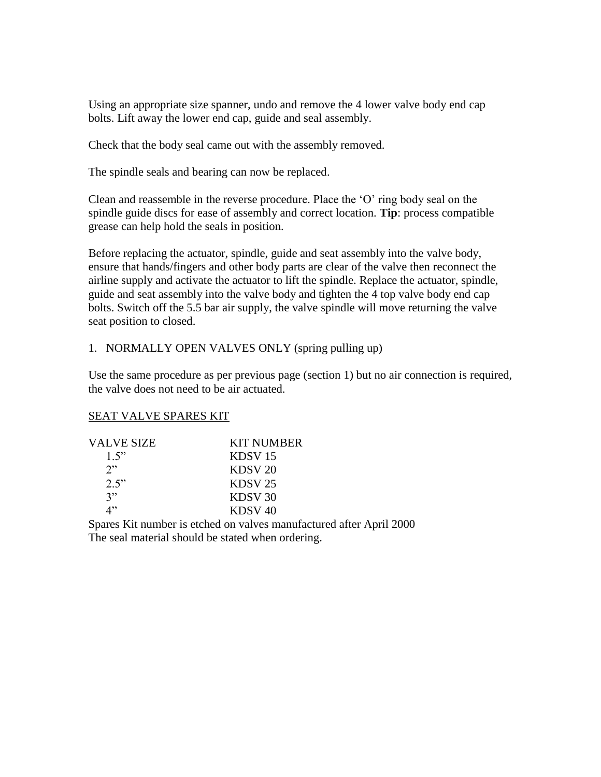Using an appropriate size spanner, undo and remove the 4 lower valve body end cap bolts. Lift away the lower end cap, guide and seal assembly.

Check that the body seal came out with the assembly removed.

The spindle seals and bearing can now be replaced.

Clean and reassemble in the reverse procedure. Place the 'O' ring body seal on the spindle guide discs for ease of assembly and correct location. **Tip**: process compatible grease can help hold the seals in position.

Before replacing the actuator, spindle, guide and seat assembly into the valve body, ensure that hands/fingers and other body parts are clear of the valve then reconnect the airline supply and activate the actuator to lift the spindle. Replace the actuator, spindle, guide and seat assembly into the valve body and tighten the 4 top valve body end cap bolts. Switch off the 5.5 bar air supply, the valve spindle will move returning the valve seat position to closed.

#### 1. NORMALLY OPEN VALVES ONLY (spring pulling up)

Use the same procedure as per previous page (section 1) but no air connection is required, the valve does not need to be air actuated.

# SEAT VALVE SPARES KIT

| VALVE SIZE | <b>KIT NUMBER</b>  |
|------------|--------------------|
| 1.5"       | KDSV <sub>15</sub> |
| 2"         | KDSV <sub>20</sub> |
| 2.5"       | KDSV <sub>25</sub> |
| 3"         | KDSV <sub>30</sub> |
|            | KDSV <sub>40</sub> |

Spares Kit number is etched on valves manufactured after April 2000 The seal material should be stated when ordering.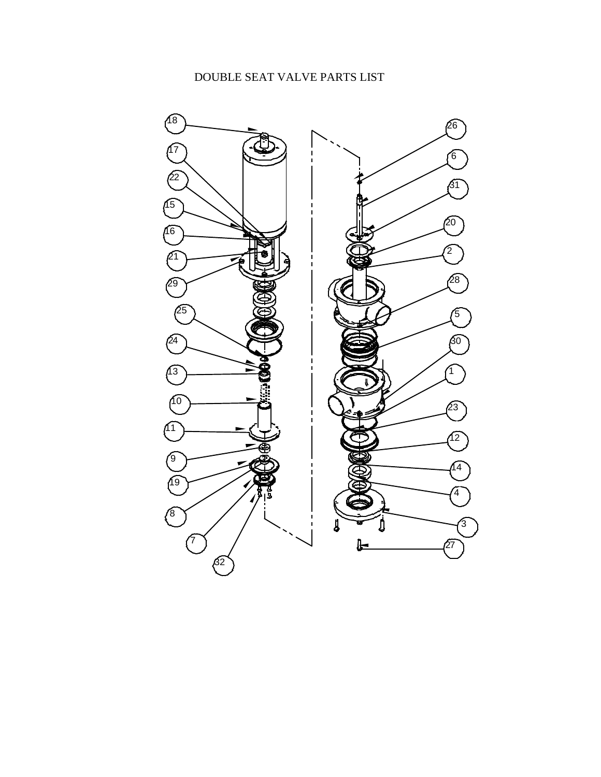# DOUBLE SEAT VALVE PARTS LIST

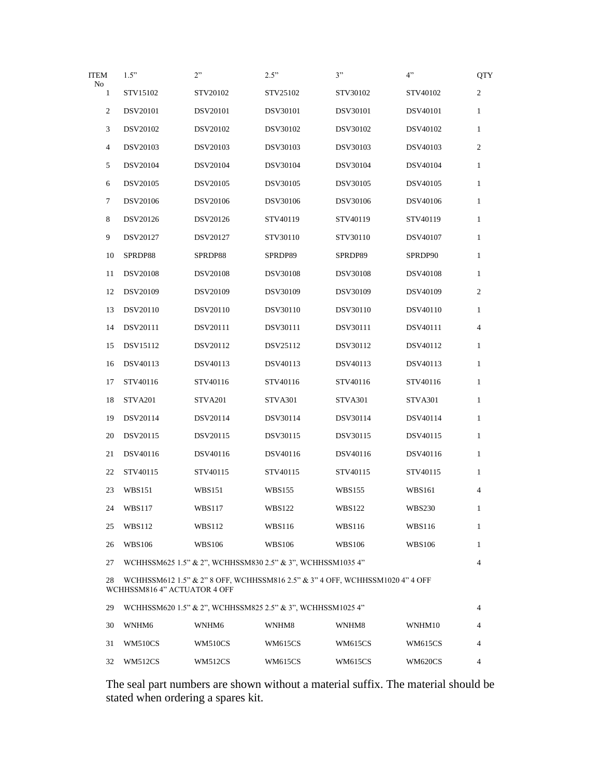| ITEM<br>N <sub>o</sub> | 1.5"                         | 2"                                                                           | 2.5"           | 3"              | 4"              | <b>QTY</b>     |
|------------------------|------------------------------|------------------------------------------------------------------------------|----------------|-----------------|-----------------|----------------|
| $\mathbf{1}$           | STV15102                     | STV20102                                                                     | STV25102       | STV30102        | STV40102        | 2              |
| 2                      | DSV20101                     | DSV20101                                                                     | DSV30101       | <b>DSV30101</b> | DSV40101        | 1              |
| 3                      | DSV20102                     | DSV20102                                                                     | DSV30102       | DSV30102        | DSV40102        | 1              |
| 4                      | DSV20103                     | DSV20103                                                                     | DSV30103       | DSV30103        | DSV40103        | 2              |
| 5                      | DSV20104                     | DSV20104                                                                     | DSV30104       | DSV30104        | DSV40104        | $\mathbf{1}$   |
| 6                      | <b>DSV20105</b>              | <b>DSV20105</b>                                                              | DSV30105       | DSV30105        | DSV40105        | 1              |
| 7                      | DSV20106                     | <b>DSV20106</b>                                                              | DSV30106       | DSV30106        | DSV40106        | 1              |
| 8                      | DSV20126                     | DSV20126                                                                     | STV40119       | STV40119        | STV40119        | 1              |
| 9                      | DSV20127                     | DSV20127                                                                     | STV30110       | STV30110        | DSV40107        | $\mathbf{1}$   |
| 10                     | SPRDP88                      | SPRDP88                                                                      | SPRDP89        | SPRDP89         | SPRDP90         | $\mathbf{1}$   |
| 11                     | <b>DSV20108</b>              | <b>DSV20108</b>                                                              | DSV30108       | <b>DSV30108</b> | <b>DSV40108</b> | $\mathbf{1}$   |
| 12                     | DSV20109                     | DSV20109                                                                     | DSV30109       | DSV30109        | DSV40109        | $\overline{c}$ |
| 13                     | DSV20110                     | DSV20110                                                                     | DSV30110       | DSV30110        | DSV40110        | $\mathbf{1}$   |
| 14                     | DSV20111                     | DSV20111                                                                     | DSV30111       | DSV30111        | DSV40111        | 4              |
| 15                     | DSV15112                     | DSV20112                                                                     | DSV25112       | DSV30112        | DSV40112        | 1              |
| 16                     | DSV40113                     | DSV40113                                                                     | DSV40113       | DSV40113        | DSV40113        | 1              |
| 17                     | STV40116                     | STV40116                                                                     | STV40116       | STV40116        | STV40116        | 1              |
| 18                     | STVA201                      | STVA <sub>201</sub>                                                          | STVA301        | STVA301         | STVA301         | 1              |
| 19                     | DSV20114                     | DSV20114                                                                     | DSV30114       | DSV30114        | DSV40114        | 1              |
| 20                     | DSV20115                     | DSV20115                                                                     | DSV30115       | DSV30115        | DSV40115        | $\mathbf{1}$   |
| 21                     | DSV40116                     | DSV40116                                                                     | DSV40116       | DSV40116        | DSV40116        | 1              |
| 22                     | STV40115                     | STV40115                                                                     | STV40115       | STV40115        | STV40115        | 1              |
| 23                     | <b>WBS151</b>                | <b>WBS151</b>                                                                | <b>WBS155</b>  | <b>WBS155</b>   | <b>WBS161</b>   | 4              |
| 24                     | <b>WBS117</b>                | WBS117                                                                       | <b>WBS122</b>  | <b>WBS122</b>   | <b>WBS230</b>   | 1              |
| 25                     | WBS112                       | WBS112                                                                       | WBS116         | <b>WBS116</b>   | <b>WBS116</b>   | 1              |
| 26                     | <b>WBS106</b>                | <b>WBS106</b>                                                                | <b>WBS106</b>  | <b>WBS106</b>   | <b>WBS106</b>   | $\mathbf{1}$   |
| 27                     |                              | WCHHSSM625 1.5" & 2", WCHHSSM830 2.5" & 3", WCHHSSM1035 4"                   |                |                 |                 | 4              |
| 28                     | WCHHSSM816 4" ACTUATOR 4 OFF | WCHHSSM612 1.5" & 2" 8 OFF, WCHHSSM816 2.5" & 3" 4 OFF, WCHHSSM1020 4" 4 OFF |                |                 |                 |                |
| 29                     |                              | WCHHSSM620 1.5" & 2", WCHHSSM825 2.5" & 3", WCHHSSM1025 4"                   |                |                 |                 | 4              |
| 30                     | WNHM6                        | WNHM6                                                                        | WNHM8          | WNHM8           | WNHM10          | 4              |
| 31                     | WM510CS                      | <b>WM510CS</b>                                                               | <b>WM615CS</b> | <b>WM615CS</b>  | <b>WM615CS</b>  | 4              |
| 32                     | <b>WM512CS</b>               | <b>WM512CS</b>                                                               | <b>WM615CS</b> | <b>WM615CS</b>  | <b>WM620CS</b>  | 4              |

The seal part numbers are shown without a material suffix. The material should be stated when ordering a spares kit.